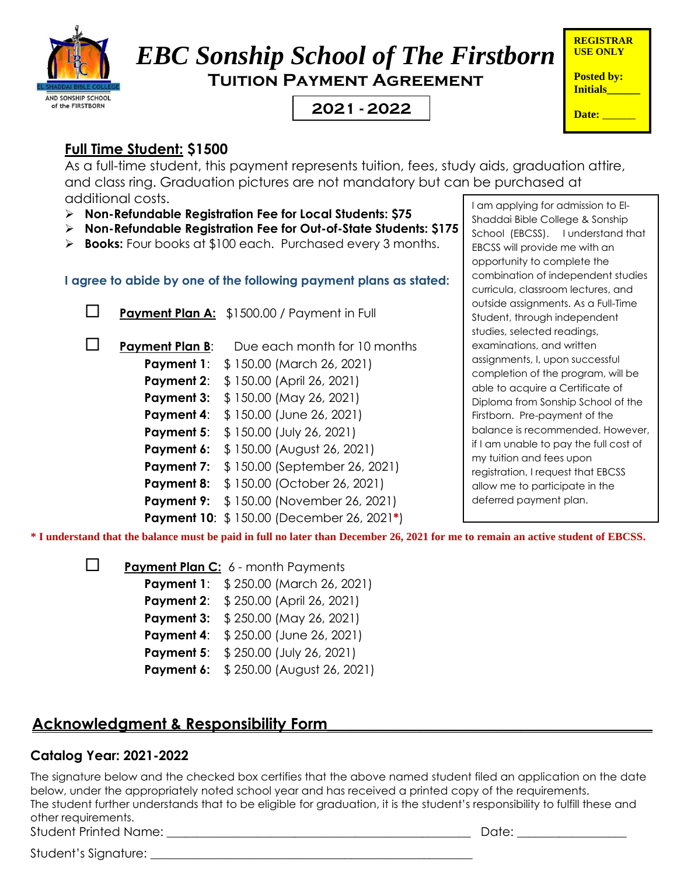

# *EBC Sonship School of The Firstborn* **Tuition Payment Agreement**

## **2021 Date:** \_\_\_\_\_\_ **- 2022**

| <b>REGISTRAR</b><br><b>USE ONLY</b>  |
|--------------------------------------|
| <b>Posted by:</b><br><b>Initials</b> |
| Date:                                |

### **Full Time Student: \$1500**

As a full-time student, this payment represents tuition, fees, study aids, graduation attire, and class ring. Graduation pictures are not mandatory but can be purchased at additional costs.

- ➢ **Non-Refundable Registration Fee for Local Students: \$75**
- ➢ **Non-Refundable Registration Fee for Out-of-State Students: \$175**
- ➢ **Books:** Four books at \$100 each. Purchased every 3 months.

**I agree to abide by one of the following payment plans as stated:**

**Payment Plan A:** \$1500.00 / Payment in Full

**Payment Plan B:** Due each month for 10 months

**Payment 1:** \$ 150.00 (March 26, 2021)

**Payment 2:** \$ 150.00 (April 26, 2021)

- **Payment 3:** \$150.00 (May 26, 2021)
- **Payment 4:** \$ 150.00 (June 26, 2021)
- **Payment 5:** \$ 150.00 (July 26, 2021)

**Payment 6:** \$ 150.00 (August 26, 2021)

- **Payment 7:** \$ 150.00 (September 26, 2021)
- **Payment 8:** \$ 150.00 (October 26, 2021)
- **Payment 9:** \$150.00 (November 26, 2021)

**Payment 10**: \$ 150.00 (December 26, 2021**\***)

I am applying for admission to El-Shaddai Bible College & Sonship School (EBCSS). I understand that EBCSS will provide me with an opportunity to complete the combination of independent studies curricula, classroom lectures, and outside assignments. As a Full-Time Student, through independent studies, selected readings, examinations, and written assignments, I, upon successful completion of the program, will be able to acquire a Certificate of Diploma from Sonship School of the Firstborn. Pre-payment of the balance is recommended. However, if I am unable to pay the full cost of my tuition and fees upon registration, I request that EBCSS allow me to participate in the deferred payment plan.

**\* I understand that the balance must be paid in full no later than December 26, 2021 for me to remain an active student of EBCSS.**

**Payment Plan C:** 6 - month Payments **Payment 1:** \$ 250.00 (March 26, 2021) **Payment 2:** \$ 250.00 (April 26, 2021) **Payment 3:** \$ 250.00 (May 26, 2021) **Payment 4:** \$ 250.00 (June 26, 2021) **Payment 5:** \$ 250.00 (July 26, 2021)

**Payment 6:** \$ 250.00 (August 26, 2021)

## **Acknowledgment & Responsibility Form\_\_\_\_\_\_\_\_\_\_\_\_\_\_\_\_\_\_\_\_\_\_\_\_\_\_\_\_\_\_\_\_\_\_\_\_\_\_\_\_\_\_**

#### **Catalog Year: 2021-2022**

The signature below and the checked box certifies that the above named student filed an application on the date below, under the appropriately noted school year and has received a printed copy of the requirements. The student further understands that to be eligible for graduation, it is the student's responsibility to fulfill these and other requirements. Student Printed Name: \_\_\_\_\_\_\_\_\_\_\_\_\_\_\_\_\_\_\_\_\_\_\_\_\_\_\_\_\_\_\_\_\_\_\_\_\_\_\_\_\_\_\_\_\_\_\_\_\_\_ Date: \_\_\_\_\_\_\_\_\_\_\_\_\_\_\_\_\_\_

Student's Signature: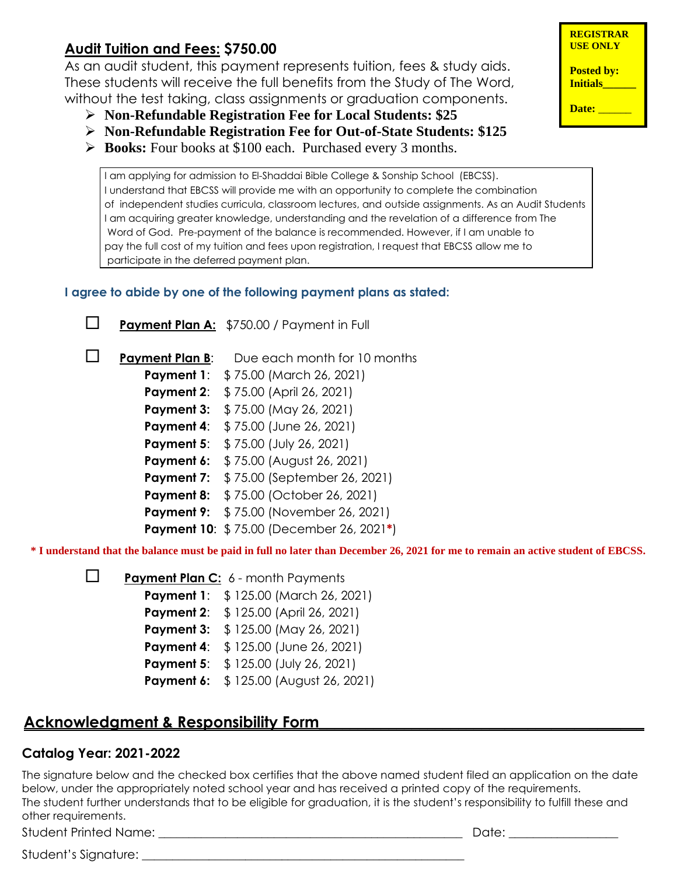#### **Audit Tuition and Fees: \$750.00**

As an audit student, this payment represents tuition, fees & study aids. These students will receive the full benefits from the Study of The Word, without the test taking, class assignments or graduation components.

- ➢ **Non-Refundable Registration Fee for Local Students: \$25**
- ➢ **Non-Refundable Registration Fee for Out-of-State Students: \$125**
- ➢ **Books:** Four books at \$100 each. Purchased every 3 months.

I am applying for admission to El-Shaddai Bible College & Sonship School (EBCSS). I understand that EBCSS will provide me with an opportunity to complete the combination of independent studies curricula, classroom lectures, and outside assignments. As an Audit Students I am acquiring greater knowledge, understanding and the revelation of a difference from The Word of God. Pre-payment of the balance is recommended. However, if I am unable to pay the full cost of my tuition and fees upon registration, I request that EBCSS allow me to participate in the deferred payment plan.

#### **I agree to abide by one of the following payment plans as stated:**

**Payment Plan A:** \$750.00 / Payment in Full





**Payment Plan B:** Due each month for 10 months **Payment 1:** \$75.00 (March 26, 2021) **Payment 2:** \$75.00 (April 26, 2021) **Payment 3:** \$ 75.00 (May 26, 2021) **Payment 4:** \$75.00 (June 26, 2021) **Payment 5:** \$75.00 (July 26, 2021) **Payment 6:** \$75.00 (August 26, 2021) **Payment 7:** \$ 75.00 (September 26, 2021) **Payment 8:** \$ 75.00 (October 26, 2021) **Payment 9:** \$ 75.00 (November 26, 2021) **Payment 10**: \$ 75.00 (December 26, 2021**\***)

**\* I understand that the balance must be paid in full no later than December 26, 2021 for me to remain an active student of EBCSS.**

**Payment Plan C:** 6 - month Payments

**Payment 1:** \$ 125.00 (March 26, 2021)

**Payment 2:** \$ 125.00 (April 26, 2021)

**Payment 3:** \$ 125.00 (May 26, 2021)

**Payment 4:** \$ 125.00 (June 26, 2021)

**Payment 5:** \$ 125.00 (July 26, 2021)

**Payment 6:** \$125.00 (August 26, 2021)

#### **Acknowledgment & Responsibility Form\_\_\_\_\_\_\_\_\_\_\_\_\_\_\_\_\_\_\_\_\_\_\_\_\_\_\_\_\_\_\_\_\_\_\_\_\_\_\_\_\_\_**

#### **Catalog Year: 2021-2022**

<u>.</u><br>The signature below and the checked box certifies that the above named student filed an application on the date below, under the appropriately noted school year and has received a printed copy of the requirements. The student further understands that to be eligible for graduation, it is the student's responsibility to fulfill these and other requirements.

Student Printed Name: \_\_\_\_\_\_\_\_\_\_\_\_\_\_\_\_\_\_\_\_\_\_\_\_\_\_\_\_\_\_\_\_\_\_\_\_\_\_\_\_\_\_\_\_\_\_\_\_\_\_ Date: \_\_\_\_\_\_\_\_\_\_\_\_\_\_\_\_\_\_

Student's Signature: \_\_\_\_\_\_\_\_\_\_\_\_\_\_\_\_\_\_\_\_\_\_\_\_\_\_\_\_\_\_\_\_\_\_\_\_\_\_\_\_\_\_\_\_\_\_\_\_\_\_\_\_\_

**REGISTRAR USE ONLY**

**Posted by: Initials\_\_\_\_\_\_**

**Date:** \_\_\_\_\_\_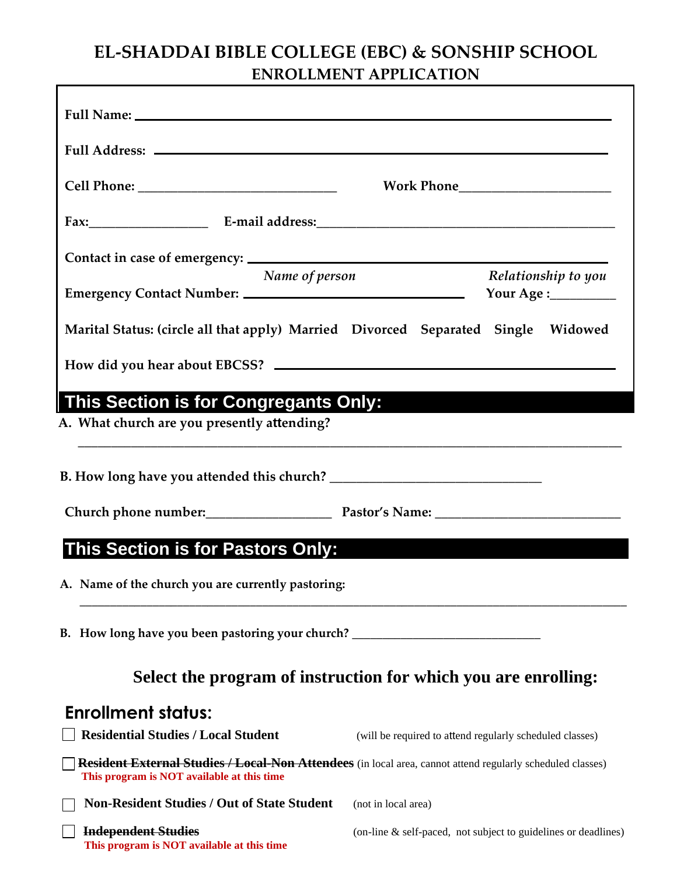### **EL-SHADDAI BIBLE COLLEGE (EBC) & SONSHIP SCHOOL ENROLLMENT APPLICATION**

| Full Address: No. 1998. The Commission of the Commission of the Commission of the Commission of the Commission                                                  |                                                                |                                             |
|-----------------------------------------------------------------------------------------------------------------------------------------------------------------|----------------------------------------------------------------|---------------------------------------------|
|                                                                                                                                                                 |                                                                |                                             |
|                                                                                                                                                                 |                                                                |                                             |
|                                                                                                                                                                 |                                                                |                                             |
| Name of person<br>Emergency Contact Number:                                                                                                                     |                                                                | Relationship to you<br>Your Age :__________ |
| Marital Status: (circle all that apply) Married Divorced Separated Single Widowed                                                                               |                                                                |                                             |
|                                                                                                                                                                 |                                                                |                                             |
| A. What church are you presently attending?                                                                                                                     |                                                                |                                             |
|                                                                                                                                                                 |                                                                |                                             |
| This Section is for Pastors Only:                                                                                                                               |                                                                |                                             |
| A. Name of the church you are currently pastoring:                                                                                                              |                                                                |                                             |
| B. How long have you been pastoring your church?                                                                                                                |                                                                |                                             |
| Select the program of instruction for which you are enrolling:                                                                                                  |                                                                |                                             |
| <b>Enrollment status:</b>                                                                                                                                       |                                                                |                                             |
| <b>Residential Studies / Local Student</b>                                                                                                                      | (will be required to attend regularly scheduled classes)       |                                             |
| <b>Resident External Studies / Local-Non Attendees</b> (in local area, cannot attend regularly scheduled classes)<br>This program is NOT available at this time |                                                                |                                             |
| <b>Non-Resident Studies / Out of State Student</b>                                                                                                              | (not in local area)                                            |                                             |
| <b>Independent Studies</b><br>This program is NOT available at this time                                                                                        | (on-line & self-paced, not subject to guidelines or deadlines) |                                             |